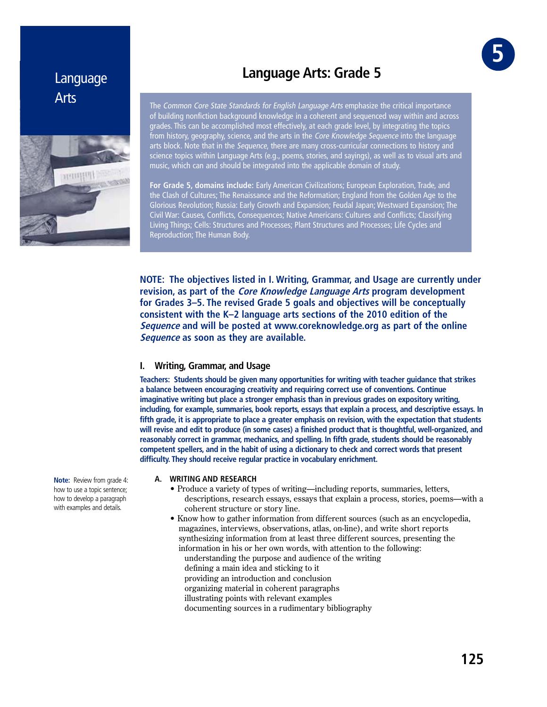# Language Arts



# **Language Arts: Grade 5**

The Common Core State Standards for English Language Arts emphasize the critical importance of building nonfiction background knowledge in a coherent and sequenced way within and across grades. This can be accomplished most effectively, at each grade level, by integrating the topics from history, geography, science, and the arts in the *Core Knowledge Sequence* into the language arts block. Note that in the *Sequence*, there are many cross-curricular connections to history and science topics within Language Arts (e.g., poems, stories, and sayings), as well as to visual arts and music, which can and should be integrated into the applicable domain of study.

**For Grade 5, domains include:** Early American Civilizations; European Exploration, Trade, and the Clash of Cultures; The Renaissance and the Reformation; England from the Golden Age to the Glorious Revolution; Russia: Early Growth and Expansion; Feudal Japan; Westward Expansion; The Civil War: Causes, Conflicts, Consequences; Native Americans: Cultures and Conflicts; Classifying Living Things; Cells: Structures and Processes; Plant Structures and Processes; Life Cycles and Reproduction; The Human Body.

**NOTE: The objectives listed in I. Writing, Grammar, and Usage are currently under revision, as part of the Core Knowledge Language Arts program development for Grades 3–5. The revised Grade 5 goals and objectives will be conceptually consistent with the K–2 language arts sections of the 2010 edition of the Sequence and will be posted at www.coreknowledge.org as part of the online Sequence as soon as they are available.**

## **I. Writing, Grammar, and Usage**

**Teachers: Students should be given many opportunities for writing with teacher guidance that strikes a balance between encouraging creativity and requiring correct use of conventions. Continue imaginative writing but place a stronger emphasis than in previous grades on expository writing, including, for example, summaries, book reports, essays that explain a process, and descriptive essays. In fifth grade, it is appropriate to place a greater emphasis on revision, with the expectation that students will revise and edit to produce (in some cases) a finished product that is thoughtful, well-organized, and reasonably correct in grammar, mechanics, and spelling. In fifth grade, students should be reasonably competent spellers, and in the habit of using a dictionary to check and correct words that present difficulty. They should receive regular practice in vocabulary enrichment.** 

#### **A. WRITING AND RESEARCH**

- Produce a variety of types of writing—including reports, summaries, letters, descriptions, research essays, essays that explain a process, stories, poems—with a coherent structure or story line.
- Know how to gather information from different sources (such as an encyclopedia, magazines, interviews, observations, atlas, on-line), and write short reports synthesizing information from at least three different sources, presenting the information in his or her own words, with attention to the following: understanding the purpose and audience of the writing defining a main idea and sticking to it providing an introduction and conclusion organizing material in coherent paragraphs illustrating points with relevant examples documenting sources in a rudimentary bibliography

**Note:** Review from grade 4: how to use a topic sentence; how to develop a paragraph with examples and details.

GRE **5**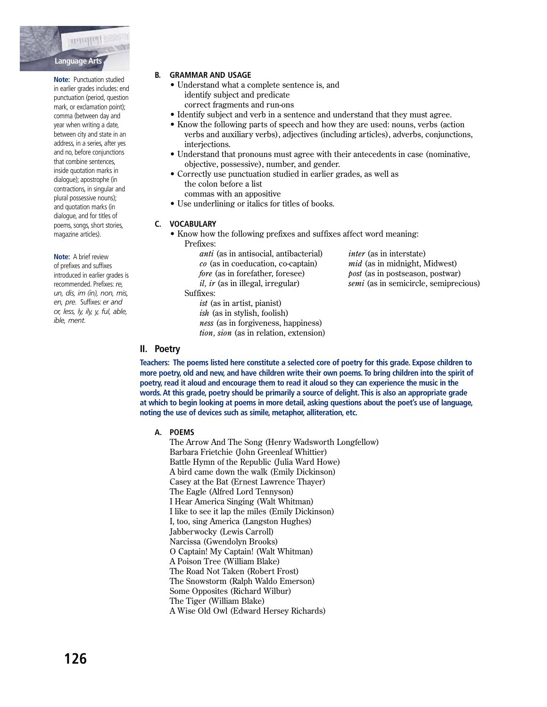

Note: Punctuation studied in earlier grades includes: end punctuation (period, question mark, or exclamation point); comma (between day and year when writing a date, between city and state in an address, in a series, after yes and no, before conjunctions that combine sentences, inside quotation marks in dialogue); apostrophe (in contractions, in singular and plural possessive nouns); and quotation marks (in dialogue, and for titles of poems, songs, short stories, magazine articles).

Note: A brief review of prefixes and suffixes introduced in earlier grades is recommended. Prefixes: re, un, dis, im (in), non, mis, en, pre. Suffixes: er and or, less, ly, ily, y, ful, able, ible, ment.

## **B. GRAMMAR AND USAGE**

- Understand what a complete sentence is, and identify subject and predicate correct fragments and run-ons
- Identify subject and verb in a sentence and understand that they must agree.
- Know the following parts of speech and how they are used: nouns, verbs (action verbs and auxiliary verbs), adjectives (including articles), adverbs, conjunctions, interiections.
- Understand that pronouns must agree with their antecedents in case (nominative, objective, possessive), number, and gender.
- Correctly use punctuation studied in earlier grades, as well as the colon before a list commas with an appositive
- Use underlining or italics for titles of books.

#### C. VOCABULARY

- Know how the following prefixes and suffixes affect word meaning:
	- Prefixes<sup>.</sup>

*anti* (as in antisocial, antibacterial)  $co$  (as in coeducation, co-captain) fore (as in forefather, foresee)  $il, ir$  (as in illegal, irregular) Suffixes:

> *ist* (as in artist, pianist)  $ish$  (as in stylish, foolish) ness (as in forgiveness, happiness) tion, sion (as in relation, extension)

*inter* (as in interstate) *mid* (as in midnight, Midwest) *post* (as in postseason, postwar) semi (as in semicircle, semiprecious)

# II. Poetry

Teachers: The poems listed here constitute a selected core of poetry for this grade. Expose children to more poetry, old and new, and have children write their own poems. To bring children into the spirit of poetry, read it aloud and encourage them to read it aloud so they can experience the music in the words. At this grade, poetry should be primarily a source of delight. This is also an appropriate grade at which to begin looking at poems in more detail, asking questions about the poet's use of language, noting the use of devices such as simile, metaphor, alliteration, etc.

A. POEMS

The Arrow And The Song (Henry Wadsworth Longfellow) Barbara Frietchie (John Greenleaf Whittier) Battle Hymn of the Republic (Julia Ward Howe) A bird came down the walk (Emily Dickinson) Casey at the Bat (Ernest Lawrence Thayer) The Eagle (Alfred Lord Tennyson) I Hear America Singing (Walt Whitman) I like to see it lap the miles (Emily Dickinson) I, too, sing America (Langston Hughes) Jabberwocky (Lewis Carroll) Narcissa (Gwendolyn Brooks) O Captain! My Captain! (Walt Whitman) A Poison Tree (William Blake) The Road Not Taken (Robert Frost) The Snowstorm (Ralph Waldo Emerson) Some Opposites (Richard Wilbur) The Tiger (William Blake) A Wise Old Owl (Edward Hersey Richards)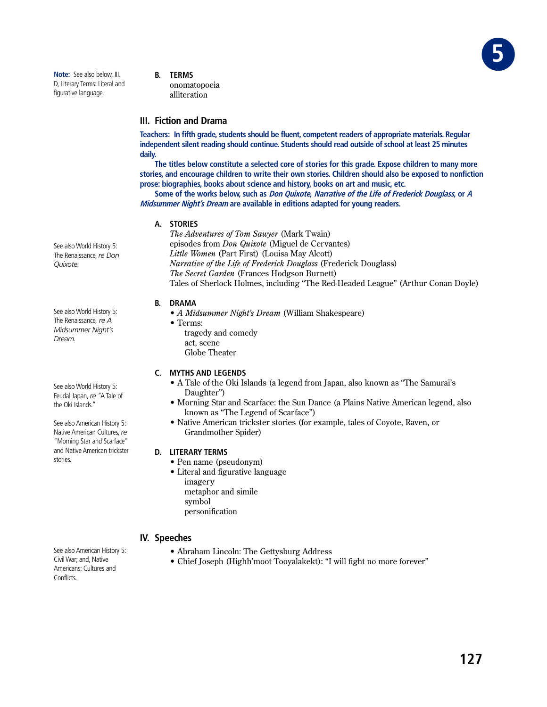

- **B. TERMS**
	- onomatopoeia alliteration

# **III. Fiction and Drama**

**Teachers: In fifth grade, students should be fluent, competent readers of appropriate materials. Regular independent silent reading should continue. Students should read outside of school at least 25 minutes daily.**

**The titles below constitute a selected core of stories for this grade. Expose children to many more stories, and encourage children to write their own stories. Children should also be exposed to nonfiction prose: biographies, books about science and history, books on art and music, etc.**

**Some of the works below, such as Don Quixote, Narrative of the Life of Frederick Douglass, or <sup>A</sup> Midsummer Night's Dream are available in editions adapted for young readers.**

#### **A. STORIES**

*The Adventures of Tom Sawyer* (Mark Twain) episodes from *Don Quixote* (Miguel de Cervantes) *Little Women* (Part First) (Louisa May Alcott) *Narrative of the Life of Frederick Douglass* (Frederick Douglass) **The Secret Garden (Frances Hodgson Burnett)** Tales of Sherlock Holmes, including "The Red-Headed League" (Arthur Conan Doyle)

#### **B. DRAMA**

- A Midsummer Night's Dream (William Shakespeare)
- $\bullet$  Terms:
	- tragedy and comedy act, scene Globe Theater

## **C. MYTHS AND LEGENDS**

- A Tale of the Oki Islands (a legend from Japan, also known as "The Samurai's Daughter")
- Morning Star and Scarface: the Sun Dance (a Plains Native American legend, also known as "The Legend of Scarface")
- Native American trickster stories (for example, tales of Coyote, Raven, or Grandmother Spider)

## **D. LITERARY TERMS**

- Pen name (pseudonym)
- Literal and figurative language imagery metaphor and simile symbol personification

# **IV. Speeches**

- Abraham Lincoln: The Gettysburg Address
- Chief Joseph (Highh'moot Tooyalakekt): "I will fight no more forever"

See also World History 5: The Renaissance, *re Don Quixote.*

See also World History 5: The Renaissance, *re A Midsummer Night's Dream.* 

See also World History 5: Feudal Japan, *re* "A Tale of the Oki Islands."

See also American History 5: Native American Cultures, *re* "Morning Star and Scarface" and Native American trickster stories.

See also American History 5: Civil War; and, Native Americans: Cultures and Conflicts.